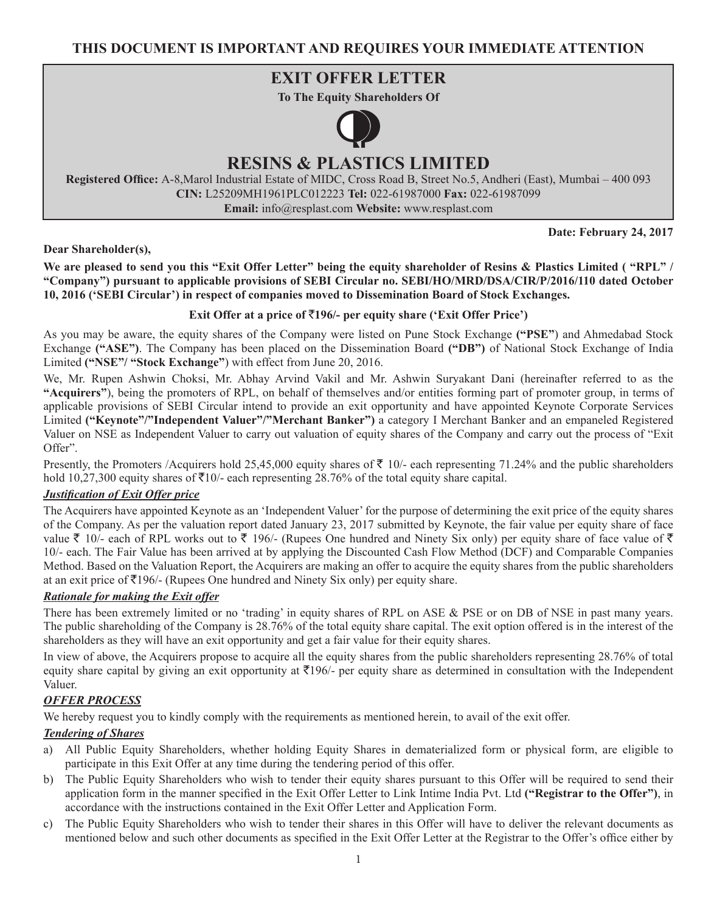# **EXIT OFFER LETTER**

**To The Equity Shareholders Of**



# **RESINS & PLASTICS LIMITED**

**Registered Office:** A-8,Marol Industrial Estate of MIDC, Cross Road B, Street No.5, Andheri (East), Mumbai – 400 093 **CIN:** L25209MH1961PLC012223 **Tel:** 022-61987000 **Fax:** 022-61987099 **Email:** info@resplast.com **Website:** www.resplast.com

**Date: February 24, 2017**

**Dear Shareholder(s),**

**We are pleased to send you this "Exit Offer Letter" being the equity shareholder of Resins & Plastics Limited ( "RPL" / "Company") pursuant to applicable provisions of SEBI Circular no. SEBI/HO/MRD/DSA/CIR/P/2016/110 dated October 10, 2016 ('SEBI Circular') in respect of companies moved to Dissemination Board of Stock Exchanges.**

# **Exit Offer at a price of** `**196/- per equity share ('Exit Offer Price')**

As you may be aware, the equity shares of the Company were listed on Pune Stock Exchange **("PSE"**) and Ahmedabad Stock Exchange **("ASE")**. The Company has been placed on the Dissemination Board **("DB")** of National Stock Exchange of India Limited **("NSE"/ "Stock Exchange"**) with effect from June 20, 2016.

We, Mr. Rupen Ashwin Choksi, Mr. Abhay Arvind Vakil and Mr. Ashwin Suryakant Dani (hereinafter referred to as the **"Acquirers"**), being the promoters of RPL, on behalf of themselves and/or entities forming part of promoter group, in terms of applicable provisions of SEBI Circular intend to provide an exit opportunity and have appointed Keynote Corporate Services Limited **("Keynote"/"Independent Valuer"/"Merchant Banker")** a category I Merchant Banker and an empaneled Registered Valuer on NSE as Independent Valuer to carry out valuation of equity shares of the Company and carry out the process of "Exit Offer".

Presently, the Promoters /Acquirers hold 25,45,000 equity shares of  $\bar{\tau}$  10/- each representing 71.24% and the public shareholders hold 10,27,300 equity shares of  $\overline{\tau}10/-\overline{\tau}$  each representing 28.76% of the total equity share capital.

# *Justification of Exit Offer price*

The Acquirers have appointed Keynote as an 'Independent Valuer' for the purpose of determining the exit price of the equity shares of the Company. As per the valuation report dated January 23, 2017 submitted by Keynote, the fair value per equity share of face value  $\bar{\tau}$  10/- each of RPL works out to  $\bar{\tau}$  196/- (Rupees One hundred and Ninety Six only) per equity share of face value of  $\bar{\tau}$ 10/- each. The Fair Value has been arrived at by applying the Discounted Cash Flow Method (DCF) and Comparable Companies Method. Based on the Valuation Report, the Acquirers are making an offer to acquire the equity shares from the public shareholders at an exit price of  $\overline{\tau}196/$ - (Rupees One hundred and Ninety Six only) per equity share.

# *Rationale for making the Exit offer*

There has been extremely limited or no 'trading' in equity shares of RPL on ASE & PSE or on DB of NSE in past many years. The public shareholding of the Company is 28.76% of the total equity share capital. The exit option offered is in the interest of the shareholders as they will have an exit opportunity and get a fair value for their equity shares.

In view of above, the Acquirers propose to acquire all the equity shares from the public shareholders representing 28.76% of total equity share capital by giving an exit opportunity at  $\overline{5196/}$ - per equity share as determined in consultation with the Independent Valuer.

# *OFFER PROCESS*

We hereby request you to kindly comply with the requirements as mentioned herein, to avail of the exit offer.

# *Tendering of Shares*

- a) All Public Equity Shareholders, whether holding Equity Shares in dematerialized form or physical form, are eligible to participate in this Exit Offer at any time during the tendering period of this offer.
- b) The Public Equity Shareholders who wish to tender their equity shares pursuant to this Offer will be required to send their application form in the manner specified in the Exit Offer Letter to Link Intime India Pvt. Ltd **("Registrar to the Offer")**, in accordance with the instructions contained in the Exit Offer Letter and Application Form.
- c) The Public Equity Shareholders who wish to tender their shares in this Offer will have to deliver the relevant documents as mentioned below and such other documents as specified in the Exit Offer Letter at the Registrar to the Offer's office either by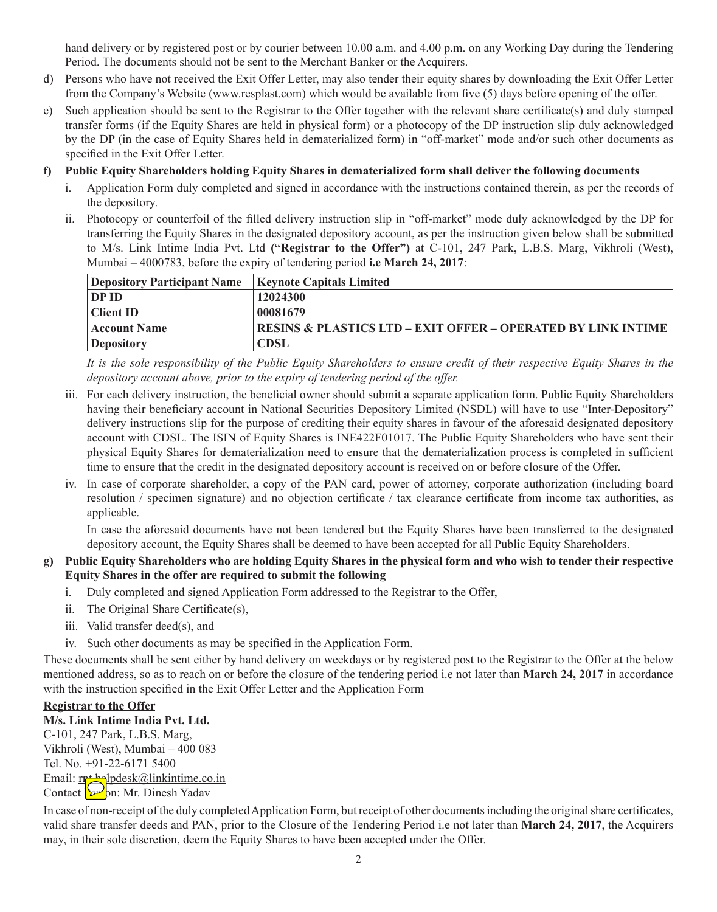hand delivery or by registered post or by courier between 10.00 a.m. and 4.00 p.m. on any Working Day during the Tendering Period. The documents should not be sent to the Merchant Banker or the Acquirers.

- d) Persons who have not received the Exit Offer Letter, may also tender their equity shares by downloading the Exit Offer Letter from the Company's Website (www.resplast.com) which would be available from five (5) days before opening of the offer.
- e) Such application should be sent to the Registrar to the Offer together with the relevant share certificate(s) and duly stamped transfer forms (if the Equity Shares are held in physical form) or a photocopy of the DP instruction slip duly acknowledged by the DP (in the case of Equity Shares held in dematerialized form) in "off-market" mode and/or such other documents as specified in the Exit Offer Letter.
- **f) Public Equity Shareholders holding Equity Shares in dematerialized form shall deliver the following documents**
	- Application Form duly completed and signed in accordance with the instructions contained therein, as per the records of the depository.
	- ii. Photocopy or counterfoil of the filled delivery instruction slip in "off-market" mode duly acknowledged by the DP for transferring the Equity Shares in the designated depository account, as per the instruction given below shall be submitted to M/s. Link Intime India Pvt. Ltd **("Registrar to the Offer")** at C-101, 247 Park, L.B.S. Marg, Vikhroli (West), Mumbai – 4000783, before the expiry of tendering period **i.e March 24, 2017**:

| <b>Depository Participant Name</b> | Keynote Capitals Limited                                     |
|------------------------------------|--------------------------------------------------------------|
| <b>DPID</b>                        | 12024300                                                     |
| <b>Client ID</b>                   | 00081679                                                     |
| <b>Account Name</b>                | RESINS & PLASTICS LTD – EXIT OFFER – OPERATED BY LINK INTIME |
| <b>Depository</b>                  | <b>CDSL</b>                                                  |

*It is the sole responsibility of the Public Equity Shareholders to ensure credit of their respective Equity Shares in the depository account above, prior to the expiry of tendering period of the offer.*

- iii. For each delivery instruction, the beneficial owner should submit a separate application form. Public Equity Shareholders having their beneficiary account in National Securities Depository Limited (NSDL) will have to use "Inter-Depository" delivery instructions slip for the purpose of crediting their equity shares in favour of the aforesaid designated depository account with CDSL. The ISIN of Equity Shares is INE422F01017. The Public Equity Shareholders who have sent their physical Equity Shares for dematerialization need to ensure that the dematerialization process is completed in sufficient time to ensure that the credit in the designated depository account is received on or before closure of the Offer.
- iv. In case of corporate shareholder, a copy of the PAN card, power of attorney, corporate authorization (including board resolution / specimen signature) and no objection certificate / tax clearance certificate from income tax authorities, as applicable.

In case the aforesaid documents have not been tendered but the Equity Shares have been transferred to the designated depository account, the Equity Shares shall be deemed to have been accepted for all Public Equity Shareholders.

## **g) Public Equity Shareholders who are holding Equity Shares in the physical form and who wish to tender their respective Equity Shares in the offer are required to submit the following**

- i. Duly completed and signed Application Form addressed to the Registrar to the Offer,
- ii. The Original Share Certificate(s),
- iii. Valid transfer deed(s), and
- iv. Such other documents as may be specified in the Application Form.

These documents shall be sent either by hand delivery on weekdays or by registered post to the Registrar to the Offer at the below mentioned address, so as to reach on or before the closure of the tendering period i.e not later than **March 24, 2017** in accordance with the instruction specified in the Exit Offer Letter and the Application Form

#### **Registrar to the Offer**

**M/s. Link Intime India Pvt. Ltd.** C-101, 247 Park, L.B.S. Marg, Vikhroli (West), Mumbai – 400 083 Tel. No. +91-22-6171 5400 Email: ruthelpdesk@linkintime.co.in Contact  $\sqrt{\ln 2}$ m: Mr. Dinesh Yadav

In case of non-receipt of the duly completed Application Form, but receipt of other documents including the original share certificates, valid share transfer deeds and PAN, prior to the Closure of the Tendering Period i.e not later than **March 24, 2017**, the Acquirers may, in their sole discretion, deem the Equity Shares to have been accepted under the Offer.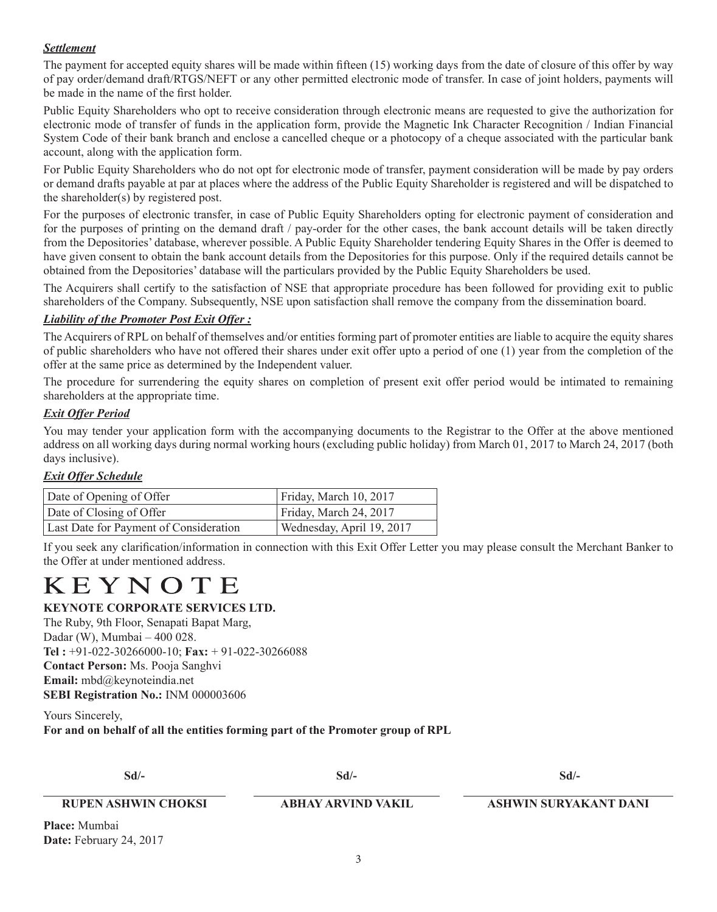## *Settlement*

The payment for accepted equity shares will be made within fifteen (15) working days from the date of closure of this offer by way of pay order/demand draft/RTGS/NEFT or any other permitted electronic mode of transfer. In case of joint holders, payments will be made in the name of the first holder.

Public Equity Shareholders who opt to receive consideration through electronic means are requested to give the authorization for electronic mode of transfer of funds in the application form, provide the Magnetic Ink Character Recognition / Indian Financial System Code of their bank branch and enclose a cancelled cheque or a photocopy of a cheque associated with the particular bank account, along with the application form.

For Public Equity Shareholders who do not opt for electronic mode of transfer, payment consideration will be made by pay orders or demand drafts payable at par at places where the address of the Public Equity Shareholder is registered and will be dispatched to the shareholder(s) by registered post.

For the purposes of electronic transfer, in case of Public Equity Shareholders opting for electronic payment of consideration and for the purposes of printing on the demand draft / pay-order for the other cases, the bank account details will be taken directly from the Depositories' database, wherever possible. A Public Equity Shareholder tendering Equity Shares in the Offer is deemed to have given consent to obtain the bank account details from the Depositories for this purpose. Only if the required details cannot be obtained from the Depositories' database will the particulars provided by the Public Equity Shareholders be used.

The Acquirers shall certify to the satisfaction of NSE that appropriate procedure has been followed for providing exit to public shareholders of the Company. Subsequently, NSE upon satisfaction shall remove the company from the dissemination board.

#### *Liability of the Promoter Post Exit Offer :*

The Acquirers of RPL on behalf of themselves and/or entities forming part of promoter entities are liable to acquire the equity shares of public shareholders who have not offered their shares under exit offer upto a period of one (1) year from the completion of the offer at the same price as determined by the Independent valuer.

The procedure for surrendering the equity shares on completion of present exit offer period would be intimated to remaining shareholders at the appropriate time.

#### *Exit Offer Period*

You may tender your application form with the accompanying documents to the Registrar to the Offer at the above mentioned address on all working days during normal working hours (excluding public holiday) from March 01, 2017 to March 24, 2017 (both days inclusive).

#### *Exit Offer Schedule*

| Date of Opening of Offer               | Friday, March 10, 2017    |
|----------------------------------------|---------------------------|
| Date of Closing of Offer               | Friday, March 24, 2017    |
| Last Date for Payment of Consideration | Wednesday, April 19, 2017 |

If you seek any clarification/information in connection with this Exit Offer Letter you may please consult the Merchant Banker to the Offer at under mentioned address.

# KEYNOTE

#### **KEYNOTE CORPORATE SERVICES LTD.**

The Ruby, 9th Floor, Senapati Bapat Marg, Dadar (W), Mumbai – 400 028. **Tel :** +91-022-30266000-10; **Fax:** + 91-022-30266088 **Contact Person:** Ms. Pooja Sanghvi **Email:** mbd@keynoteindia.net **SEBI Registration No.:** INM 000003606

Yours Sincerely,

**For and on behalf of all the entities forming part of the Promoter group of RPL**

| Sd/-                | Sd/-               | $Sd$ /-               |
|---------------------|--------------------|-----------------------|
| RUPEN ASHWIN CHOKSI | ABHAY ARVIND VAKIL | ASHWIN SURYAKANT DANI |

**Place:** Mumbai **Date:** February 24, 2017